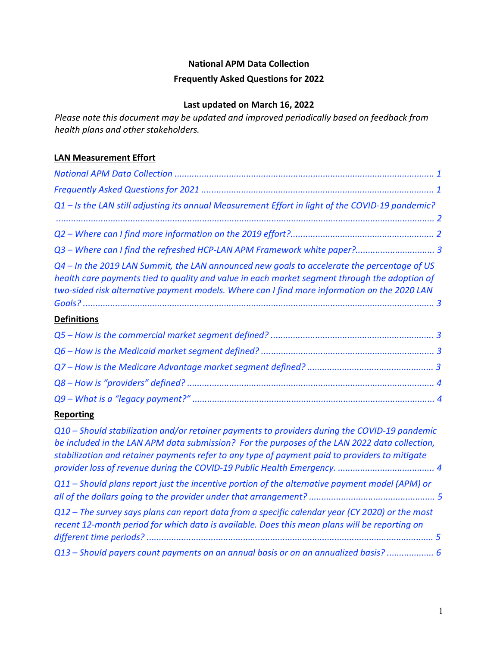### **National APM Data Collection**

#### **Frequently Asked Questions for 2022**

## **Last updated on March 16, 2022**

*Please note this document may be updated and improved periodically based on feedback from health plans and other stakeholders.* 

## **LAN Measurement Effort**

| $Q1 -$ Is the LAN still adjusting its annual Measurement Effort in light of the COVID-19 pandemic?                                                                                                                                                                                           |  |
|----------------------------------------------------------------------------------------------------------------------------------------------------------------------------------------------------------------------------------------------------------------------------------------------|--|
|                                                                                                                                                                                                                                                                                              |  |
|                                                                                                                                                                                                                                                                                              |  |
|                                                                                                                                                                                                                                                                                              |  |
| Q4 – In the 2019 LAN Summit, the LAN announced new goals to accelerate the percentage of US<br>health care payments tied to quality and value in each market segment through the adoption of<br>two-sided risk alternative payment models. Where can I find more information on the 2020 LAN |  |
| <b>Definitions</b>                                                                                                                                                                                                                                                                           |  |
|                                                                                                                                                                                                                                                                                              |  |
|                                                                                                                                                                                                                                                                                              |  |
|                                                                                                                                                                                                                                                                                              |  |
|                                                                                                                                                                                                                                                                                              |  |
|                                                                                                                                                                                                                                                                                              |  |

### **Reporting**

| Q10 – Should stabilization and/or retainer payments to providers during the COVID-19 pandemic<br>be included in the LAN APM data submission? For the purposes of the LAN 2022 data collection,<br>stabilization and retainer payments refer to any type of payment paid to providers to mitigate |  |
|--------------------------------------------------------------------------------------------------------------------------------------------------------------------------------------------------------------------------------------------------------------------------------------------------|--|
| $Q11$ – Should plans report just the incentive portion of the alternative payment model (APM) or                                                                                                                                                                                                 |  |
| Q12 – The survey says plans can report data from a specific calendar year (CY 2020) or the most<br>recent 12-month period for which data is available. Does this mean plans will be reporting on                                                                                                 |  |
| Q13 - Should payers count payments on an annual basis or on an annualized basis?  6                                                                                                                                                                                                              |  |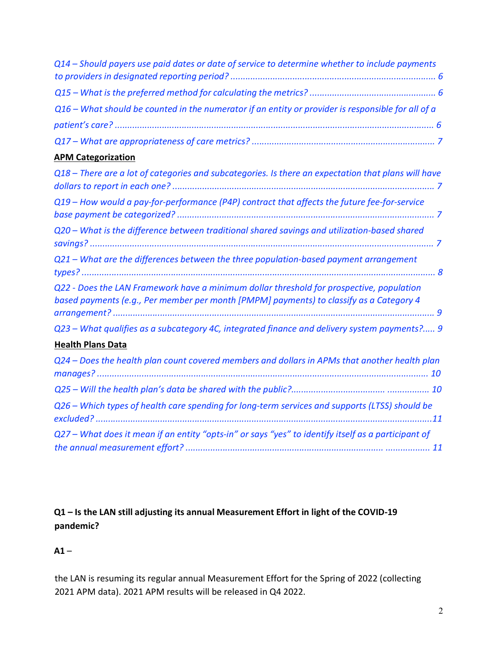| Q14 - Should payers use paid dates or date of service to determine whether to include payments                                                                                      |
|-------------------------------------------------------------------------------------------------------------------------------------------------------------------------------------|
|                                                                                                                                                                                     |
| Q16 - What should be counted in the numerator if an entity or provider is responsible for all of a                                                                                  |
|                                                                                                                                                                                     |
|                                                                                                                                                                                     |
| <b>APM Categorization</b>                                                                                                                                                           |
| Q18 - There are a lot of categories and subcategories. Is there an expectation that plans will have                                                                                 |
| Q19 - How would a pay-for-performance (P4P) contract that affects the future fee-for-service                                                                                        |
| Q20 - What is the difference between traditional shared savings and utilization-based shared                                                                                        |
| Q21 - What are the differences between the three population-based payment arrangement                                                                                               |
| Q22 - Does the LAN Framework have a minimum dollar threshold for prospective, population<br>based payments (e.g., Per member per month [PMPM] payments) to classify as a Category 4 |
| Q23 - What qualifies as a subcategory 4C, integrated finance and delivery system payments? 9                                                                                        |
| <b>Health Plans Data</b>                                                                                                                                                            |
| Q24 - Does the health plan count covered members and dollars in APMs that another health plan                                                                                       |
|                                                                                                                                                                                     |
| Q26 - Which types of health care spending for long-term services and supports (LTSS) should be                                                                                      |
| Q27 - What does it mean if an entity "opts-in" or says "yes" to identify itself as a participant of                                                                                 |

**Q1 – Is the LAN still adjusting its annual Measurement Effort in light of the COVID-19 pandemic?** 

 $A1 -$ 

the LAN is resuming its regular annual Measurement Effort for the Spring of 2022 (collecting 2021 APM data). 2021 APM results will be released in Q4 2022.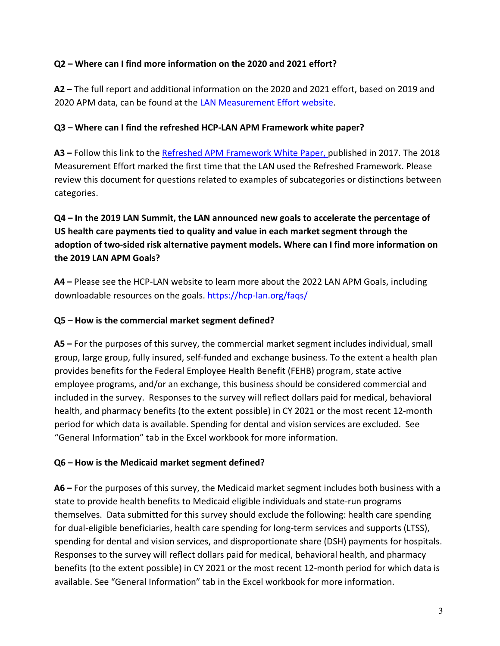### **Q2 – Where can I find more information on the 2020 and 2021 effort?**

**A2 –** The full report and additional information on the 2020 and 2021 effort, based on 2019 and 2020 APM data, can be found at the [LAN Measurement Effort website.](https://hcp-lan.org/apm-measurement-effort/) 

#### **Q3 – Where can I find the refreshed HCP-LAN APM Framework white paper?**

**A3 –** Follow this link to the [Refreshed APM Framework White Paper,](http://hcp-lan.org/workproducts/apm-refresh-whitepaper-final.pdf) [p](http://hcp-lan.org/workproducts/apm-refresh-whitepaper-final.pdf)ublished in 2017. The 2018 Measurement Effort marked the first time that the LAN used the Refreshed Framework. Please review this document for questions related to examples of subcategories or distinctions between categories.

## **Q4 – In the 2019 LAN Summit, the LAN announced new goals to accelerate the percentage of US health care payments tied to quality and value in each market segment through the adoption of two-sided risk alternative payment models. Where can I find more information on the 2019 LAN APM Goals?**

**A4 –** Please see the HCP-LAN website to learn more about the 2022 LAN APM Goals, including downloadable resources on the goals. <https://hcp-lan.org/faqs/>

#### **Q5 – How is the commercial market segment defined?**

**A5 –** For the purposes of this survey, the commercial market segment includes individual, small group, large group, fully insured, self-funded and exchange business. To the extent a health plan provides benefits for the Federal Employee Health Benefit (FEHB) program, state active employee programs, and/or an exchange, this business should be considered commercial and included in the survey. Responses to the survey will reflect dollars paid for medical, behavioral health, and pharmacy benefits (to the extent possible) in CY 2021 or the most recent 12-month period for which data is available. Spending for dental and vision services are excluded. See "General Information" tab in the Excel workbook for more information.

#### **Q6 – How is the Medicaid market segment defined?**

**A6 –** For the purposes of this survey, the Medicaid market segment includes both business with a state to provide health benefits to Medicaid eligible individuals and state-run programs themselves. Data submitted for this survey should exclude the following: health care spending for dual-eligible beneficiaries, health care spending for long-term services and supports (LTSS), spending for dental and vision services, and disproportionate share (DSH) payments for hospitals. Responses to the survey will reflect dollars paid for medical, behavioral health, and pharmacy benefits (to the extent possible) in CY 2021 or the most recent 12-month period for which data is available. See "General Information" tab in the Excel workbook for more information.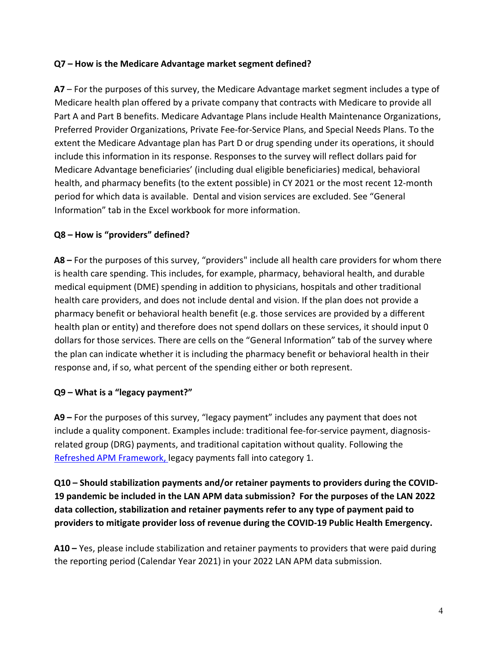#### **Q7 – How is the Medicare Advantage market segment defined?**

**A7** – For the purposes of this survey, the Medicare Advantage market segment includes a type of Medicare health plan offered by a private company that contracts with Medicare to provide all Part A and Part B benefits. Medicare Advantage Plans include Health Maintenance Organizations, Preferred Provider Organizations, Private Fee-for-Service Plans, and Special Needs Plans. To the extent the Medicare Advantage plan has Part D or drug spending under its operations, it should include this information in its response. Responses to the survey will reflect dollars paid for Medicare Advantage beneficiaries' (including dual eligible beneficiaries) medical, behavioral health, and pharmacy benefits (to the extent possible) in CY 2021 or the most recent 12-month period for which data is available. Dental and vision services are excluded. See "General Information" tab in the Excel workbook for more information.

### **Q8 – How is "providers" defined?**

**A8 –** For the purposes of this survey, "providers" include all health care providers for whom there is health care spending. This includes, for example, pharmacy, behavioral health, and durable medical equipment (DME) spending in addition to physicians, hospitals and other traditional health care providers, and does not include dental and vision. If the plan does not provide a pharmacy benefit or behavioral health benefit (e.g. those services are provided by a different health plan or entity) and therefore does not spend dollars on these services, it should input 0 dollars for those services. There are cells on the "General Information" tab of the survey where the plan can indicate whether it is including the pharmacy benefit or behavioral health in their response and, if so, what percent of the spending either or both represent.

### **Q9 – What is a "legacy payment?"**

**A9 –** For the purposes of this survey, "legacy payment" includes any payment that does not include a quality component. Examples include: traditional fee-for-service payment, diagnosisrelated group (DRG) payments, and traditional capitation without quality. Following the [Refreshed APM Framework,](http://hcp-lan.org/workproducts/apm-refresh-whitepaper-final.pdf) [l](http://hcp-lan.org/workproducts/apm-refresh-whitepaper-final.pdf)egacy payments fall into category 1.

**Q10 – Should stabilization payments and/or retainer payments to providers during the COVID-19 pandemic be included in the LAN APM data submission? For the purposes of the LAN 2022 data collection, stabilization and retainer payments refer to any type of payment paid to providers to mitigate provider loss of revenue during the COVID-19 Public Health Emergency.** 

**A10 –** Yes, please include stabilization and retainer payments to providers that were paid during the reporting period (Calendar Year 2021) in your 2022 LAN APM data submission.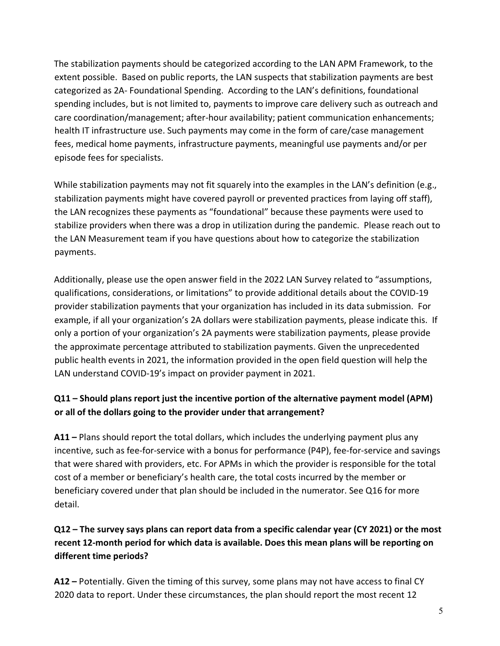The stabilization payments should be categorized according to the LAN APM Framework, to the extent possible. Based on public reports, the LAN suspects that stabilization payments are best categorized as 2A- Foundational Spending. According to the LAN's definitions, foundational spending includes, but is not limited to, payments to improve care delivery such as outreach and care coordination/management; after-hour availability; patient communication enhancements; health IT infrastructure use. Such payments may come in the form of care/case management fees, medical home payments, infrastructure payments, meaningful use payments and/or per episode fees for specialists.

While stabilization payments may not fit squarely into the examples in the LAN's definition (e.g., stabilization payments might have covered payroll or prevented practices from laying off staff), the LAN recognizes these payments as "foundational" because these payments were used to stabilize providers when there was a drop in utilization during the pandemic. Please reach out to the LAN Measurement team if you have questions about how to categorize the stabilization payments.

Additionally, please use the open answer field in the 2022 LAN Survey related to "assumptions, qualifications, considerations, or limitations" to provide additional details about the COVID-19 provider stabilization payments that your organization has included in its data submission. For example, if all your organization's 2A dollars were stabilization payments, please indicate this. If only a portion of your organization's 2A payments were stabilization payments, please provide the approximate percentage attributed to stabilization payments. Given the unprecedented public health events in 2021, the information provided in the open field question will help the LAN understand COVID-19's impact on provider payment in 2021.

# **Q11 – Should plans report just the incentive portion of the alternative payment model (APM) or all of the dollars going to the provider under that arrangement?**

**A11 –** Plans should report the total dollars, which includes the underlying payment plus any incentive, such as fee-for-service with a bonus for performance (P4P), fee-for-service and savings that were shared with providers, etc. For APMs in which the provider is responsible for the total cost of a member or beneficiary's health care, the total costs incurred by the member or beneficiary covered under that plan should be included in the numerator. See Q16 for more detail.

# **Q12 – The survey says plans can report data from a specific calendar year (CY 2021) or the most recent 12-month period for which data is available. Does this mean plans will be reporting on different time periods?**

**A12 –** Potentially. Given the timing of this survey, some plans may not have access to final CY 2020 data to report. Under these circumstances, the plan should report the most recent 12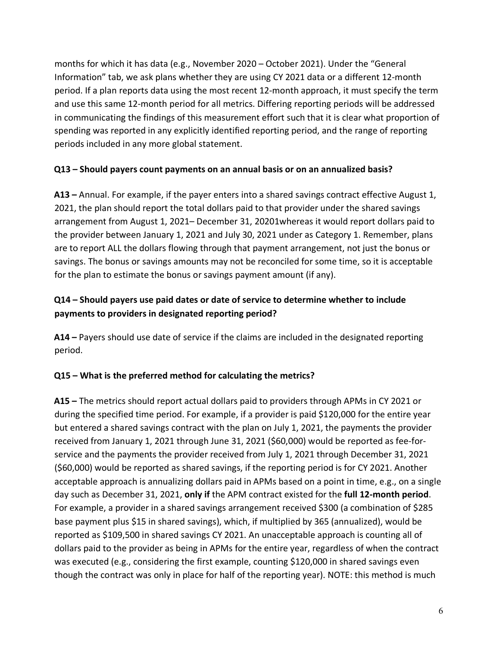months for which it has data (e.g., November 2020 – October 2021). Under the "General Information" tab, we ask plans whether they are using CY 2021 data or a different 12-month period. If a plan reports data using the most recent 12-month approach, it must specify the term and use this same 12-month period for all metrics. Differing reporting periods will be addressed in communicating the findings of this measurement effort such that it is clear what proportion of spending was reported in any explicitly identified reporting period, and the range of reporting periods included in any more global statement.

#### **Q13 – Should payers count payments on an annual basis or on an annualized basis?**

**A13 –** Annual. For example, if the payer enters into a shared savings contract effective August 1, 2021, the plan should report the total dollars paid to that provider under the shared savings arrangement from August 1, 2021– December 31, 20201whereas it would report dollars paid to the provider between January 1, 2021 and July 30, 2021 under as Category 1. Remember, plans are to report ALL the dollars flowing through that payment arrangement, not just the bonus or savings. The bonus or savings amounts may not be reconciled for some time, so it is acceptable for the plan to estimate the bonus or savings payment amount (if any).

## **Q14 – Should payers use paid dates or date of service to determine whether to include payments to providers in designated reporting period?**

**A14 –** Payers should use date of service if the claims are included in the designated reporting period.

### **Q15 – What is the preferred method for calculating the metrics?**

**A15 –** The metrics should report actual dollars paid to providers through APMs in CY 2021 or during the specified time period. For example, if a provider is paid \$120,000 for the entire year but entered a shared savings contract with the plan on July 1, 2021, the payments the provider received from January 1, 2021 through June 31, 2021 (\$60,000) would be reported as fee-forservice and the payments the provider received from July 1, 2021 through December 31, 2021 (\$60,000) would be reported as shared savings, if the reporting period is for CY 2021. Another acceptable approach is annualizing dollars paid in APMs based on a point in time, e.g., on a single day such as December 31, 2021, **only if** the APM contract existed for the **full 12-month period**. For example, a provider in a shared savings arrangement received \$300 (a combination of \$285 base payment plus \$15 in shared savings), which, if multiplied by 365 (annualized), would be reported as \$109,500 in shared savings CY 2021. An unacceptable approach is counting all of dollars paid to the provider as being in APMs for the entire year, regardless of when the contract was executed (e.g., considering the first example, counting \$120,000 in shared savings even though the contract was only in place for half of the reporting year). NOTE: this method is much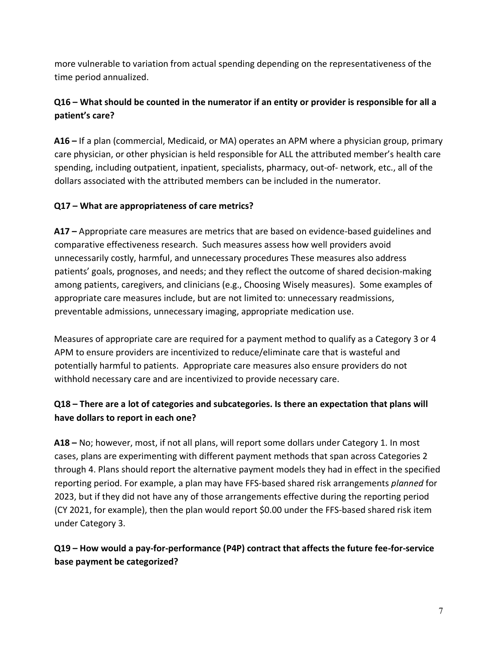more vulnerable to variation from actual spending depending on the representativeness of the time period annualized.

# **Q16 – What should be counted in the numerator if an entity or provider is responsible for all a patient's care?**

**A16 –** If a plan (commercial, Medicaid, or MA) operates an APM where a physician group, primary care physician, or other physician is held responsible for ALL the attributed member's health care spending, including outpatient, inpatient, specialists, pharmacy, out-of- network, etc., all of the dollars associated with the attributed members can be included in the numerator.

## **Q17 – What are appropriateness of care metrics?**

**A17 –** Appropriate care measures are metrics that are based on evidence-based guidelines and comparative effectiveness research. Such measures assess how well providers avoid unnecessarily costly, harmful, and unnecessary procedures These measures also address patients' goals, prognoses, and needs; and they reflect the outcome of shared decision-making among patients, caregivers, and clinicians (e.g., Choosing Wisely measures). Some examples of appropriate care measures include, but are not limited to: unnecessary readmissions, preventable admissions, unnecessary imaging, appropriate medication use.

Measures of appropriate care are required for a payment method to qualify as a Category 3 or 4 APM to ensure providers are incentivized to reduce/eliminate care that is wasteful and potentially harmful to patients. Appropriate care measures also ensure providers do not withhold necessary care and are incentivized to provide necessary care.

## **Q18 – There are a lot of categories and subcategories. Is there an expectation that plans will have dollars to report in each one?**

**A18 –** No; however, most, if not all plans, will report some dollars under Category 1. In most cases, plans are experimenting with different payment methods that span across Categories 2 through 4. Plans should report the alternative payment models they had in effect in the specified reporting period. For example, a plan may have FFS-based shared risk arrangements *planned* for 2023, but if they did not have any of those arrangements effective during the reporting period (CY 2021, for example), then the plan would report \$0.00 under the FFS-based shared risk item under Category 3.

**Q19 – How would a pay-for-performance (P4P) contract that affects the future fee-for-service base payment be categorized?**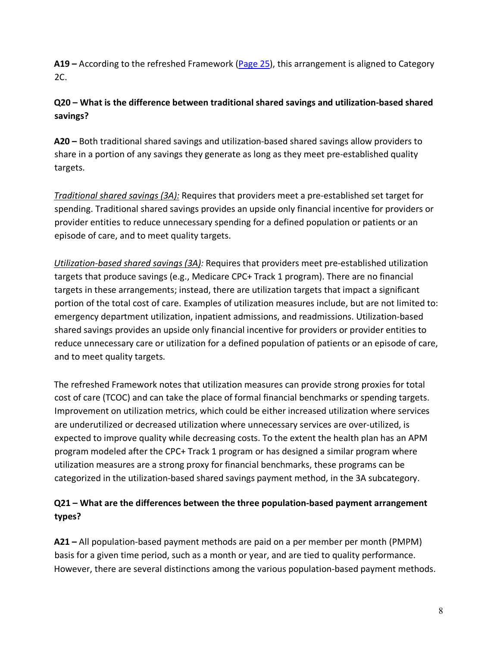**A19 –** According to the refreshed Framework [\(Page](http://hcp-lan.org/workproducts/apm-refresh-whitepaper-final.pdf) [2](http://hcp-lan.org/workproducts/apm-refresh-whitepaper-final.pdf)5), this arrangement is aligned to Category 2C.

# **Q20 – What is the difference between traditional shared savings and utilization-based shared savings?**

**A20 –** Both traditional shared savings and utilization-based shared savings allow providers to share in a portion of any savings they generate as long as they meet pre-established quality targets.

*Traditional shared savings (3A):* Requires that providers meet a pre-established set target for spending. Traditional shared savings provides an upside only financial incentive for providers or provider entities to reduce unnecessary spending for a defined population or patients or an episode of care, and to meet quality targets.

*Utilization-based shared savings (3A):* Requires that providers meet pre-established utilization targets that produce savings (e.g., Medicare CPC+ Track 1 program). There are no financial targets in these arrangements; instead, there are utilization targets that impact a significant portion of the total cost of care. Examples of utilization measures include, but are not limited to: emergency department utilization, inpatient admissions, and readmissions. Utilization-based shared savings provides an upside only financial incentive for providers or provider entities to reduce unnecessary care or utilization for a defined population of patients or an episode of care, and to meet quality targets.

The refreshed Framework notes that utilization measures can provide strong proxies for total cost of care (TCOC) and can take the place of formal financial benchmarks or spending targets. Improvement on utilization metrics, which could be either increased utilization where services are underutilized or decreased utilization where unnecessary services are over-utilized, is expected to improve quality while decreasing costs. To the extent the health plan has an APM program modeled after the CPC+ Track 1 program or has designed a similar program where utilization measures are a strong proxy for financial benchmarks, these programs can be categorized in the utilization-based shared savings payment method, in the 3A subcategory.

## **Q21 – What are the differences between the three population-based payment arrangement types?**

**A21 –** All population-based payment methods are paid on a per member per month (PMPM) basis for a given time period, such as a month or year, and are tied to quality performance. However, there are several distinctions among the various population-based payment methods.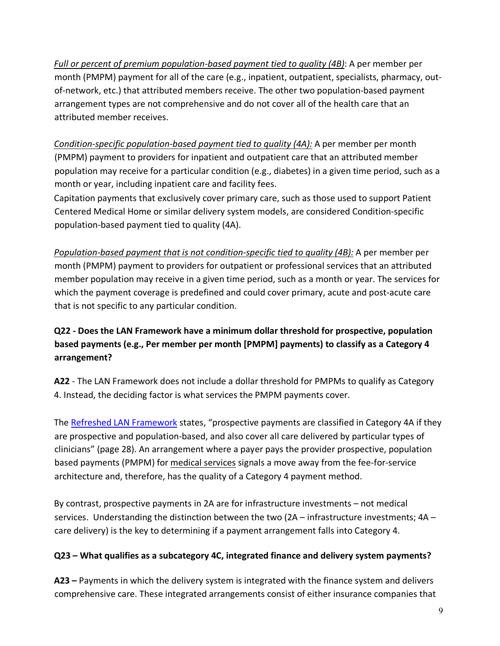*Full or percent of premium population-based payment tied to quality (4B)*: A per member per month (PMPM) payment for all of the care (e.g., inpatient, outpatient, specialists, pharmacy, outof-network, etc.) that attributed members receive. The other two population-based payment arrangement types are not comprehensive and do not cover all of the health care that an attributed member receives.

*Condition-specific population-based payment tied to quality (4A):* A per member per month (PMPM) payment to providers for inpatient and outpatient care that an attributed member population may receive for a particular condition (e.g., diabetes) in a given time period, such as a month or year, including inpatient care and facility fees.

Capitation payments that exclusively cover primary care, such as those used to support Patient Centered Medical Home or similar delivery system models, are considered Condition-specific population-based payment tied to quality (4A).

*Population-based payment that is not condition-specific tied to quality (4B):* A per member per month (PMPM) payment to providers for outpatient or professional services that an attributed member population may receive in a given time period, such as a month or year. The services for which the payment coverage is predefined and could cover primary, acute and post-acute care that is not specific to any particular condition.

# **Q22 - Does the LAN Framework have a minimum dollar threshold for prospective, population based payments (e.g., Per member per month [PMPM] payments) to classify as a Category 4 arrangement?**

**A22** - The LAN Framework does not include a dollar threshold for PMPMs to qualify as Category 4. Instead, the deciding factor is what services the PMPM payments cover.

The [Refreshed LAN Framework](http://hcp-lan.org/workproducts/apm-refresh-whitepaper-final.pdf) [s](http://hcp-lan.org/workproducts/apm-refresh-whitepaper-final.pdf)tates, "prospective payments are classified in Category 4A if they are prospective and population-based, and also cover all care delivered by particular types of clinicians" (page 28). An arrangement where a payer pays the provider prospective, population based payments (PMPM) for medical services signals a move away from the fee-for-service architecture and, therefore, has the quality of a Category 4 payment method.

By contrast, prospective payments in 2A are for infrastructure investments – not medical services. Understanding the distinction between the two  $(2A - infrastructure$  investments;  $4A$ care delivery) is the key to determining if a payment arrangement falls into Category 4.

### **Q23 – What qualifies as a subcategory 4C, integrated finance and delivery system payments?**

**A23 –** Payments in which the delivery system is integrated with the finance system and delivers comprehensive care. These integrated arrangements consist of either insurance companies that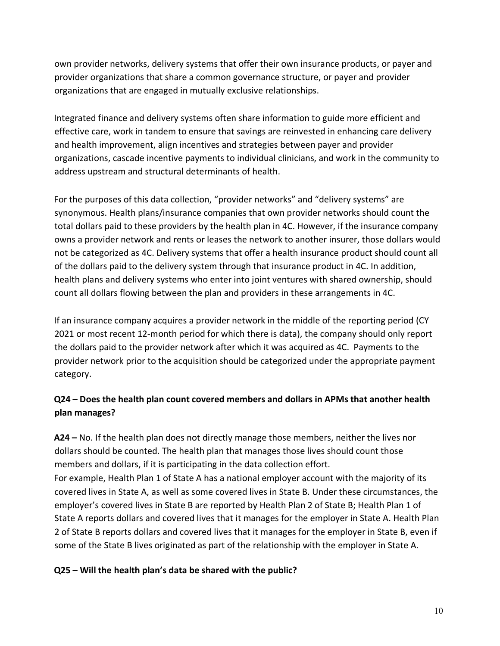own provider networks, delivery systems that offer their own insurance products, or payer and provider organizations that share a common governance structure, or payer and provider organizations that are engaged in mutually exclusive relationships.

Integrated finance and delivery systems often share information to guide more efficient and effective care, work in tandem to ensure that savings are reinvested in enhancing care delivery and health improvement, align incentives and strategies between payer and provider organizations, cascade incentive payments to individual clinicians, and work in the community to address upstream and structural determinants of health.

For the purposes of this data collection, "provider networks" and "delivery systems" are synonymous. Health plans/insurance companies that own provider networks should count the total dollars paid to these providers by the health plan in 4C. However, if the insurance company owns a provider network and rents or leases the network to another insurer, those dollars would not be categorized as 4C. Delivery systems that offer a health insurance product should count all of the dollars paid to the delivery system through that insurance product in 4C. In addition, health plans and delivery systems who enter into joint ventures with shared ownership, should count all dollars flowing between the plan and providers in these arrangements in 4C.

If an insurance company acquires a provider network in the middle of the reporting period (CY 2021 or most recent 12-month period for which there is data), the company should only report the dollars paid to the provider network after which it was acquired as 4C. Payments to the provider network prior to the acquisition should be categorized under the appropriate payment category.

## **Q24 – Does the health plan count covered members and dollars in APMs that another health plan manages?**

**A24 –** No. If the health plan does not directly manage those members, neither the lives nor dollars should be counted. The health plan that manages those lives should count those members and dollars, if it is participating in the data collection effort.

For example, Health Plan 1 of State A has a national employer account with the majority of its covered lives in State A, as well as some covered lives in State B. Under these circumstances, the employer's covered lives in State B are reported by Health Plan 2 of State B; Health Plan 1 of State A reports dollars and covered lives that it manages for the employer in State A. Health Plan 2 of State B reports dollars and covered lives that it manages for the employer in State B, even if some of the State B lives originated as part of the relationship with the employer in State A.

### **Q25 – Will the health plan's data be shared with the public?**